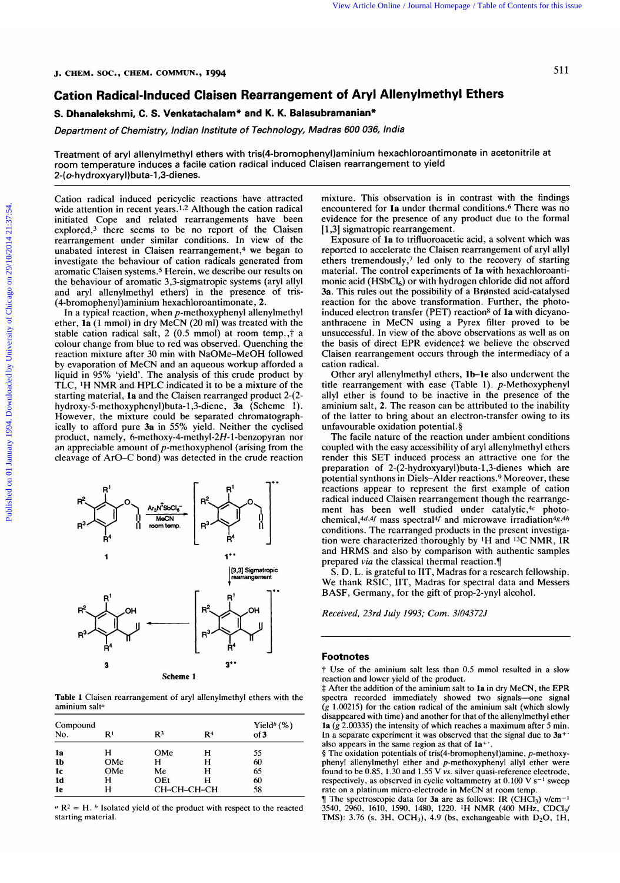# **Cation Radical-Induced Claisen**  View Article Online / Journal Homepage / Table of Contents for this issue<br>**SOC., CHEM. COMMUN., 1994**<br>**Radical-Induced Claisen Rearrangement of Aryl Allenylmethyl Ethers** <sup>511</sup> <sup>C.</sup>, CHEM. COMMUN., 1994<br>**dical-Induced Claisen Rearrangement of Aryl Allenylmethyl Ethers**<br>shmi, C. S. Venkatachalam\* and K. K. Balasubramanian\*<br>*of Chemistry, Indian Institute of Technology, Madras 600 036, India*<br>f ary **Madras Concording Concording Concording Concording Concording Concording Concording Concording Concording Concording Concording Concording Concording Concording Concording Concording Concording Concording Concording Conco**

# **S. Dhanalekshmi, C. S. Venkatachalam\* and K. K. Balasubramanian\***

**Department Chemistry, Indian Institute of Technology,** 

Treatment of aryl allenylmethyl ethers with **tris(4-bromophenyi)aminium**  hexachloroantimonate 511<br>**Allenylmethyl Ethers**<br>*India*<br>exachloroantimonate in acetonitrile at room temperature induces a facile cation radical induced Claisen rearrangement to yield 2-( **0- h** yd rox ya ry I ) buta- 1,3-d i en es.

Cation radical induced pericyclic reactions have attracted wide attention in recent years.1.2 Although the cation radical initiated Cope and related rearrangements have been explored,<sup>3</sup> there seems to be no report of the Claisen rearrangement under similar conditions. In view of the unabated interest in Claisen rearrangement,<sup>4</sup> we began to investigate the behaviour of cation radicals generated from aromatic Claisen systems.5 Herein, we describe our results on the behaviour of aromatic 3,3-sigmatropic systems (aryl allyl and aryl allenylmethyl ethers) in the presence of tris- (4-bromopheny1)aminium hexachloroantimonate **,2.** 

In a typical reaction, when p-methoxyphenyl allenylmethyl ether, **la** (1 mmol) in dry MeCN (20 ml) was treated with the stable cation radical salt, 2 (0.5 mmol) at room temp.,† a colour change from blue to red was observed. Quenching the reaction mixture after 30 min with NaOMe-MeOH followed by evaporation of MeCN and an aqueous workup afforded a In a typical reaction, when p-methoxyphenyl allenylmethy<br>
ether, **1a** (1 mmol) in dry MeCN (20 ml) was treated with the<br>
stable cation radical salt, 2 (0.5 mmol) at room temp.,† a<br>
stable cation radical salt, 2 (0.5 mmol) TLC, **1H** NMR and HPLC indicated it to be a mixture of the starting material, **la** and the Claisen rearranged product 2-(2 **hydroxy-5-methoxyphenyl)buta-1,3-diene, 3a** (Scheme **1).**  However, the mixture could be separated chromatographically to afford pure **3a** in 55% yield. Neither the cyclised product, namely, 6-methoxy-4-methyl-2H-1-benzopyran nor an appreciable amount of  $p$ -methoxyphenol (arising from the cleavage of ArO-C bond) was detected in the crude reaction



**Table 1** Claisen rearrangement of aryl allenylmethyl ethers with the aminium salt<sup>6</sup>

| Compound<br>No. | R١  | R <sup>3</sup> | R4 | Yield <sup>b</sup> $(\%)$<br>of 3 |
|-----------------|-----|----------------|----|-----------------------------------|
| la              | н   | OMe            | н  | 55                                |
| 1 <sub>b</sub>  | OMe | н              | н  | 60                                |
| 1c              | OMe | Me             | н  | 65                                |
| ld              | н   | OEt            | Н  | 60                                |
| 1e              | н   | СН=СН-СН=СН    |    | 58                                |

 $R^2 = H$ . *h* Isolated yield of the product with respect to the reacted starting material.

mixture. This observation is in contrast with the findings encountered for **la** under thermal conditions.6 There was no evidence for the presence of any product due to the formal [1,3] sigmatropic rearrangement.

investigate the behaviour of cation radicals generated from<br>aromatic Claisen systems.<sup>5</sup> Herein, we describe our results on<br>material. The control experiments of **1a** with hexachloroanti-<br>the behaviour of aromatic 3,3-signa Exposure of **la** to trifluoroacetic acid, a solvent which was reported to accelerate the Claisen rearrangement of aryl allyl ethers tremendously,7 led only to the recovery of starting material. The control experiments of **la** with hexachloroantimonic acid  $(HSbCl<sub>6</sub>)$  or with hydrogen chloride did not afford **3a.** This rules out the possibility of a Bronsted acid-catalysed reaction for the above transformation. Further, the photoinduced electron transfer (PET) reaction<sup>8</sup> of 1a with dicyanoanthracene in MeCN using a Pyrex filter proved to be unsuccessful. In view of the above observations as well as on the basis of direct EPR evidence‡ we believe the observed Claisen rearrangement occurs through the intermediacy of a cation radical.

Other aryl allenylmethyl ethers, **lb-le** also underwent the title rearrangement with ease (Table 1). p-Methoxyphenyl allyl ether is found to be inactive in the presence of the aminiurn salt, **2.** The reason can be attributed to the inability of the latter to bring about an electron-transfer owing to its unfavourable oxidation potential. **9** 

The facile nature of the reaction under ambient conditions coupled with the easy accessibility of aryl allenylmethyl ethers render this SET induced process an attractive one for the preparation of **2-(2-hydroxyaryl)buta-1,3-dienes** which are potential synthons in Diels-Alder reactions.9 Moreover, these reactions appear to represent the first example of cation radical induced Claisen rearrangement though the rearrangement has been well studied under catalytic,<sup>4c</sup> photochemical,  $4d.4f$  mass spectral<sup>4f</sup> and microwave irradiation $4g.4h$ conditions. The rearranged products in the present investigation were characterized thoroughly by **1H** and 13C NMR, IR and HRMS and also by comparison with authentic samples prepared *via* the classical thermal reaction. $\P$ reactions appear to represent the first example of cation<br>radical induced Claisen rearrangement though the rearrange-<br>ment has been well studied under catalytic,<sup>4c</sup> photo-<br>chemical,<sup>4d,4f</sup> mass spectral<sup>4f</sup> and microwave

S. D. L. is grateful to IIT, Madras for a research fellowship. We thank RSIC, IIT, Madras for spectral data and Messers BASF, Germany, for the gift of prop-2-ynyl alcohol.

*Received, 23rd July 1993; Corn. 3/04372J* 

### **Footnotes**

t Use of the aminium salt less than 0.5 mmol resulted in a slow reaction and lower yield of the product.

\$ After the addition of the aminium salt to **la** in dry MeCN, the EPR spectra recorded immediately showed two signals-one signal *(g* 1.00215) for the cation radical of the aminium salt (which slowly disappeared with time) and another for that of the allenylmethyl ether **la** *(g* 2.00335) the intensity of which reaches a maximum after **5** min. In a separate experiment it was observed that the signal due to **3a+'**  also appears in the same region as that of  $1a^+$ 

§ The oxidation potentials of **tris(4-bromophenyl)amine,** p-methoxyphenyl allenylmethyl ether and p-methoxyphenyl allyl ether were found to be 0.85, 1.30 and 1.55 V **vs.** silver quasi-reference electrode, respectively, as observed in cyclic voltammetry at 0.100 V **s-l** sweep rate on a platinum micro-electrode in MeCN at room temp.

**The spectroscopic data for <b>3a** are as follows: IR (CHCl<sub>3</sub>) v/cm<sup>-1</sup> TMS): 3.76 (s, 3H, OCH<sub>3</sub>), 4.9 (bs, exchangeable with D<sub>2</sub>O, 1H, **3540,** 2960, 1610, 1590, 1480, 1220. 'H NMR (400 MHz, CDC13/